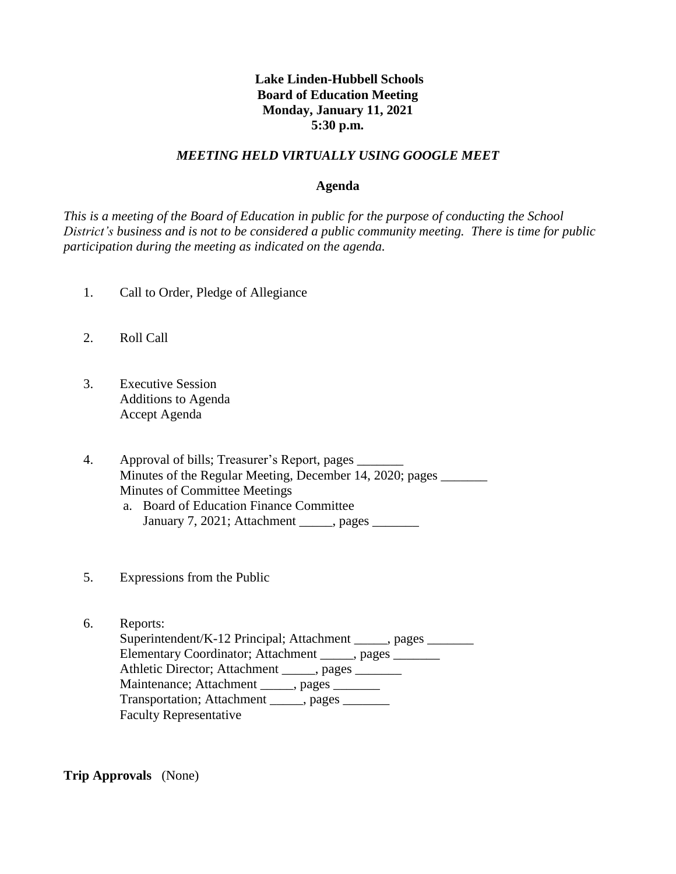# **Lake Linden-Hubbell Schools Board of Education Meeting Monday, January 11, 2021 5:30 p.m.**

#### *MEETING HELD VIRTUALLY USING GOOGLE MEET*

#### **Agenda**

*This is a meeting of the Board of Education in public for the purpose of conducting the School District's business and is not to be considered a public community meeting. There is time for public participation during the meeting as indicated on the agenda.*

- 1. Call to Order, Pledge of Allegiance
- 2. Roll Call
- 3. Executive Session Additions to Agenda Accept Agenda

4. Approval of bills; Treasurer's Report, pages \_\_\_\_\_\_\_\_\_\_\_\_\_\_\_\_\_\_\_\_\_\_\_\_\_\_\_\_\_\_\_\_ Minutes of the Regular Meeting, December 14, 2020; pages \_\_\_\_\_\_\_ Minutes of Committee Meetings a. Board of Education Finance Committee January 7, 2021; Attachment \_\_\_\_\_, pages \_\_\_\_\_\_\_

- 5. Expressions from the Public
- 6. Reports: Superintendent/K-12 Principal; Attachment \_\_\_\_\_, pages \_\_\_\_\_\_\_ Elementary Coordinator; Attachment \_\_\_\_\_, pages \_\_\_\_\_\_\_ Athletic Director; Attachment \_\_\_\_\_, pages \_\_\_\_\_\_\_ Maintenance; Attachment \_\_\_\_\_, pages \_\_\_\_\_\_ Transportation; Attachment \_\_\_\_\_, pages Faculty Representative

**Trip Approvals** (None)